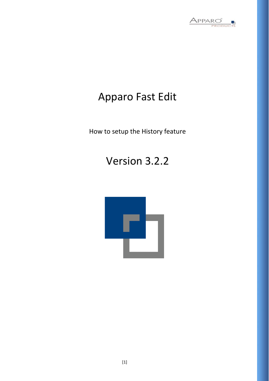

# Apparo Fast Edit

How to setup the History feature

# Version 3.2.2

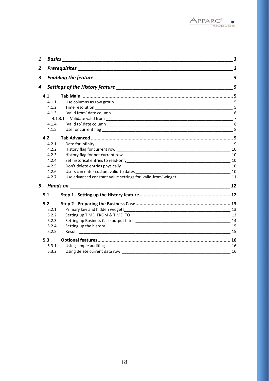

| 1              | <b>Basics Exercise Executive Service Service Service Service Service Service Service Service Service Service Service Service Service Service Service Service Service Service Service Service Service Service Service Service S</b>   | 3    |
|----------------|--------------------------------------------------------------------------------------------------------------------------------------------------------------------------------------------------------------------------------------|------|
| $\overline{2}$ |                                                                                                                                                                                                                                      | 3    |
| 3              | Enabling the feature <u>contained and the set of the set of the set of the set of the set of the set of the set of the set of the set of the set of the set of the set of the set of the set of the set of the set of the set of</u> | 3    |
| 4              |                                                                                                                                                                                                                                      | 5    |
| 4.1            |                                                                                                                                                                                                                                      |      |
| 4.1.1          |                                                                                                                                                                                                                                      |      |
| 4.1.2          |                                                                                                                                                                                                                                      |      |
| 4.1.3          |                                                                                                                                                                                                                                      |      |
|                |                                                                                                                                                                                                                                      |      |
| 4.1.4          |                                                                                                                                                                                                                                      |      |
| 4.1.5          |                                                                                                                                                                                                                                      |      |
| 4.2            |                                                                                                                                                                                                                                      |      |
| 4.2.1          |                                                                                                                                                                                                                                      |      |
| 4.2.2          |                                                                                                                                                                                                                                      |      |
| 4.2.3          |                                                                                                                                                                                                                                      |      |
| 4.2.4          |                                                                                                                                                                                                                                      |      |
| 4.2.5          |                                                                                                                                                                                                                                      |      |
| 4.2.6          |                                                                                                                                                                                                                                      | - 10 |
| 4.2.7          | Use advanced constant value settings for 'valid-from' widget 11 11                                                                                                                                                                   |      |
| 5              |                                                                                                                                                                                                                                      |      |
| 5.1            |                                                                                                                                                                                                                                      |      |
| 5.2            |                                                                                                                                                                                                                                      |      |
| 5.2.1          | Primary key and hidden widgets                                                                                                                                                                                                       |      |
| 5.2.2          |                                                                                                                                                                                                                                      |      |
| 5.2.3          |                                                                                                                                                                                                                                      |      |
| 5.2.4          |                                                                                                                                                                                                                                      |      |
| 5.2.5          |                                                                                                                                                                                                                                      |      |
| 5.3            |                                                                                                                                                                                                                                      |      |
| 5.3.1          |                                                                                                                                                                                                                                      | 16   |
| 5.3.2          | Using delete current data row                                                                                                                                                                                                        | 16   |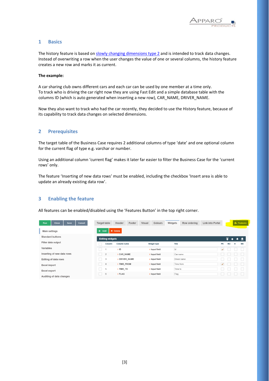

# **1 Basics**

The history feature is based o[n slowly changing dimensions type 2](https://en.wikipedia.org/wiki/Slowly_changing_dimension#Type_2:_add_new_row) and is intended to track data changes. Instead of overwriting a row when the user changes the value of one or several columns, the history feature creates a new row and marks it as current.

#### **The example:**

A car sharing club owns different cars and each car can be used by one member at a time only. To track who is driving the car right now they are using Fast Edit and a simple database table with the columns ID (which is auto generated when inserting a new row), CAR\_NAME, DRIVER\_NAME.

Now they also want to track who had the car recently, they decided to use the History feature, because of its capability to track data changes on selected dimensions.

# **2 Prerequisites**

The target table of the Business Case requires 2 additional columns of type 'date' and one optional column for the current flag of type e.g. varchar or number.

Using an additional column 'current flag' makes it later far easier to filter the Business Case for the 'current rows' only.

The feature 'Inserting of new data rows' must be enabled, including the checkbox 'Insert area is able to update an already existing data row'.

# **3 Enabling the feature**

All features can be enabled/disabled using the 'Features Button' in the top right corner.

| Run                     | Close                      | Save | Cancel | <b>Target table</b>         | Header      | Footer        | Visual | <b>Colours</b> | Widgets       | Row ordering | <b>Link into Portal</b> |              |    |   | <b>N</b> . Features |
|-------------------------|----------------------------|------|--------|-----------------------------|-------------|---------------|--------|----------------|---------------|--------------|-------------------------|--------------|----|---|---------------------|
| <b>Main settings</b>    |                            |      |        | $\ddot{\phantom{1}}$<br>Add | X Delete    |               |        |                |               |              |                         |              |    |   |                     |
| <b>Standard buttons</b> |                            |      |        | <b>Editing widgets</b>      |             |               |        |                |               |              |                         |              | Ŧ  |   |                     |
| Filter data output      |                            |      |        | Column                      | Column name |               |        | Widget type    | Title         |              |                         | PK           | RO | н | <b>NN</b>           |
| Variables               |                            |      |        | H                           | $>$ ID      |               |        | > Input field  | $\mathsf{Id}$ |              |                         | $\checkmark$ |    |   |                     |
|                         | Inserting of new data rows |      |        | $\overline{2}$              | > CAR_NAME  |               |        | > Input field  | Car name      |              |                         |              |    |   |                     |
|                         | Editing of data rows       |      |        | 3<br>H.                     |             | > DRIVER_NAME |        | > Input field  |               | Driver name  |                         |              |    |   |                     |
| <b>Excel import</b>     |                            |      |        | $\overline{4}$              | > TIME_FROM |               |        | > Input field  | Time from     |              |                         | ٧            |    |   |                     |
| <b>Excel export</b>     |                            |      |        | 5                           | > TIME TO   |               |        | > Input field  | Time to       |              |                         |              |    |   |                     |
|                         | Auditing of data changes   |      |        | 6                           | > FLAG      |               |        | > Input field  | Flag          |              |                         |              |    |   |                     |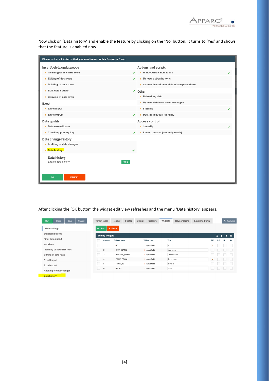

Now click on 'Data history' and enable the feature by clicking on the 'No' button. It turns to 'Yes' and shows that the feature is enabled now.

| Please select all features that you want to use in this Business Case: |            |                                            |  |
|------------------------------------------------------------------------|------------|--------------------------------------------|--|
| Insert/delete/update/copy                                              |            | <b>Actions and scripts</b>                 |  |
| $\blacktriangleright$ Inserting of new data rows                       |            | ▶ Widget data calculations                 |  |
| $\triangleright$ Editing of data rows                                  |            | My own action buttons                      |  |
| $\triangleright$ Deleting of data rows                                 |            | Automatic scripts and database procedures  |  |
| $\triangleright$ Bulk data update                                      |            | Other                                      |  |
| ▶ Copying of data rows                                                 |            | $\triangleright$ Refreshing data           |  |
| Excel                                                                  |            | My own database error messages             |  |
| $\triangleright$ Excel import                                          |            | $\blacktriangleright$ Filtering            |  |
| $\triangleright$ Excel export                                          | v          | $\triangleright$ Data transaction handling |  |
| Data quality                                                           |            | <b>Access control</b>                      |  |
| Data row validator                                                     |            | $\triangleright$ Security                  |  |
| $\triangleright$ Checking primary key                                  |            | > Limited access (readonly mode)           |  |
| Data change history                                                    |            |                                            |  |
| Auditing of data changes                                               |            |                                            |  |
| Data history                                                           |            |                                            |  |
| Data history                                                           |            |                                            |  |
| Enable data history                                                    | <b>YES</b> |                                            |  |
|                                                                        |            |                                            |  |
| OK<br><b>CANCEL</b>                                                    |            |                                            |  |
|                                                                        |            |                                            |  |

After clicking the 'OK button' the widget edit view refreshes and the menu 'Data history' appears.

| <b>Close</b><br>Run         | Save | Cancel |           | <b>Target table</b>    | Header          | Footer | Visual | <b>Colours</b>     | Widgets   | Row ordering | Link into Portal |              |    | <b>N</b> . Features |           |
|-----------------------------|------|--------|-----------|------------------------|-----------------|--------|--------|--------------------|-----------|--------------|------------------|--------------|----|---------------------|-----------|
| <b>Main settings</b>        |      |        | $\ddot{}$ | Add                    | <b>X</b> Delete |        |        |                    |           |              |                  |              |    |                     |           |
| <b>Standard buttons</b>     |      |        |           | <b>Editing widgets</b> |                 |        |        |                    |           |              |                  |              | Ŧ  |                     |           |
| Filter data output          |      |        |           | Column                 | Column name     |        |        | <b>Widget type</b> | Title     |              |                  | PK           | RO | H                   | <b>NN</b> |
| Variables                   |      |        |           |                        | $>$ ID          |        |        | > Input field      | Id        |              |                  | $\checkmark$ |    |                     |           |
| Inserting of new data rows  |      |        | $\sim$    | $\overline{2}$         | > CAR NAME      |        |        | > Input field      | Car name  |              |                  |              |    |                     |           |
| <b>Editing of data rows</b> |      |        | $\sim$    | 3                      | > DRIVER_NAME   |        |        | > Input field      |           | Driver name  |                  |              |    |                     |           |
| <b>Excel import</b>         |      |        |           | 4                      | TIME_FROM       |        |        | > Input field      | Time from |              |                  | $\checkmark$ |    |                     |           |
| <b>Excel export</b>         |      |        |           | 5                      | > TIME_TO       |        |        | > Input field      | Time to   |              |                  |              |    |                     |           |
| Auditing of data changes    |      |        |           | $_{\rm 6}$             | $>$ FLAG        |        |        | > Input field      | Flag      |              |                  |              |    |                     |           |
| Data hietony                |      |        |           |                        |                 |        |        |                    |           |              |                  |              |    |                     |           |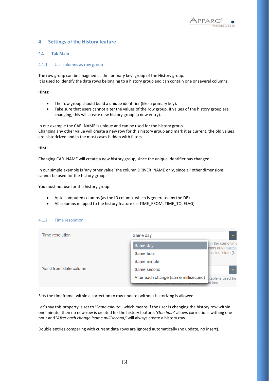

# **4 Settings of the History feature**

#### **4.1 Tab Main**

#### 4.1.1 Use columns as row group

The row group can be imagined as the 'primary key' group of the History group. It is used to identify the data rows belonging to a history group and can contain one or several columns.

**Hints:**

- The row group should build a unique identifier (like a primary key).
- Take sure that users cannot alter the values of the row group. If values of the history group are changing, this will create new history group (a new entry).

In our example the CAR\_NAME is unique and can be used for the history group. Changing any other value will create a new row for this history group and mark it as current, the old values are historicized and in the most cases hidden with filters.

#### **Hint:**

Changing CAR\_NAME will create a new history group, since the unique identifier has changed.

In our simple example is 'any other value' the column DRIVER\_NAME only, since all other dimensions cannot be used for the history group.

You must not use for the history group:

- Auto computed columns (as the ID column, which is generated by the DB)
- All columns mapped to the history feature (as TIME\_FROM, TIME\_TO, FLAG)

#### 4.1.2 Time resolution

| Time resolution          | Same day                             |                                         |
|--------------------------|--------------------------------------|-----------------------------------------|
|                          | Same day                             | I in the same time<br>imns automaticall |
|                          | Same hour                            | pecified 'state (U,                     |
|                          | Same minute                          |                                         |
| "Valid from" date column | Same second                          |                                         |
|                          | After each change (same millisecond) | table is used for                       |
|                          | CUILLIII, ITIUJI DU a part UI tho    | rv kev                                  |

Sets the timeframe, within a correction (= row update) without historizing is allowed.

Let's say this property is set to '*Same minute*', which means if the user is changing the history row within one minute, then no new row is created for the history feature. '*One hour*' allows corrections withing one hour and '*After each change (same millisecond)*' will always create a history row.

Double entries comparing with current data rows are ignored automatically (no update, no insert).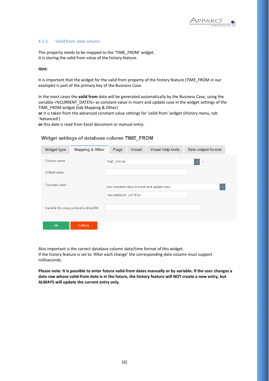

#### 4.1.3 'Valid from' date column

This property needs to be mapped to the 'TIME\_FROM' widget. It is storing the valid from value of the history feature.

#### **Hint:**

It is important that the widget for the valid from property of the history feature (TIME\_FROM in our example) is part of the primary key of the Business Case.

In the most cases the **valid from** date will be generated automatically by the Business Case, using the variable <%CURRENT\_DATE%> as constant value in insert and update case in the widget settings of the TIME\_FROM widget (tab Mapping & Other)

**or** it is taken from the advanced constant value settings for 'valid-from' widget (History menu, tab 'Advanced')

**or** this date is read from Excel document or manual entry.

# Widget settings of database column TIME FROM

| Widget type    | <b>Mapping &amp; Other</b>              | <b>Flags</b>     | <b>Visual</b> | Visual help texts                            | Data output format |
|----------------|-----------------------------------------|------------------|---------------|----------------------------------------------|--------------------|
| Column name    |                                         | TIME_FROM        |               |                                              | $\pmb{\pi}$        |
| Default value  |                                         |                  |               |                                              |                    |
| Constant value |                                         |                  |               | Use constant value in insert and update case |                    |
|                |                                         | <%CURRENT DATE%> |               |                                              |                    |
|                | Variable for using content in detail BC |                  |               |                                              |                    |
| <b>OK</b>      | <b>CANCEL</b>                           |                  |               |                                              |                    |

Also important is the correct database column date/time format of this widget. If the history feature is set to 'After each change' the corresponding date column must support milliseconds.

**Please note: It is possible to enter future valid-from dates manually or by variable. If the user changes a data row whose valid-from date is in the future, the history feature will NOT create a new entry, but ALWAYS will update the current entry only.**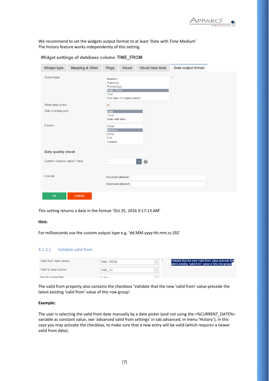

We recommend to set the widgets output format to at least 'Date with Time Medium' The history feature works independently of this setting.

| <b>Widget type</b>            | <b>Mapping &amp; Other</b> | <b>Flags</b><br><b>Visual</b>                                                        | Visual help texts | Data output format |
|-------------------------------|----------------------------|--------------------------------------------------------------------------------------|-------------------|--------------------|
| Output type                   |                            | Number<br>Currency<br>Percentage<br>Date / Time<br>Text<br>Use type of output column |                   | $\pmb{\ast}$       |
| Show date picker              |                            | ✔                                                                                    |                   |                    |
| Date and time part            |                            | <b>Date</b><br>Time<br>Date with time                                                |                   |                    |
| Format                        |                            | Short<br>Medium<br>Long<br>Full<br>Custom                                            |                   |                    |
| Data quality check            |                            |                                                                                      |                   |                    |
| Custom validator Java 7 class |                            | $---$                                                                                | 0                 |                    |
| Interval                      |                            | Minimum allowed:<br>Maximum allowed:                                                 |                   |                    |
| OK                            | <b>CANCEL</b>              |                                                                                      |                   |                    |

Widget settings of database column TIME FROM

This setting returns a date in the format 'Oct 25, 2016 9:17:13 AM'

#### **Hint:**

For milliseconds use the custom output type e.g. 'dd.MM.yyyy:hh.mm.ss.SSS'

#### 4.1.3.1 Validate valid from

| "Valid from' date column | TIME FROM |  | Validate that the new 'valid from' value precede the<br>latest existing 'valid from' value of this row group. |
|--------------------------|-----------|--|---------------------------------------------------------------------------------------------------------------|
| "Valid to' date column   | TIME TO   |  |                                                                                                               |
| Llea for currant flag    | ELAC-     |  |                                                                                                               |

The valid from property also contains the checkbox 'Validate that the new 'valid from' value precede the latest existing 'valid from' value of this row group'.

#### **Example:**

The user is selecting the valid from date manually by a date picker (and not using the <%CURRENT\_DATE%> variable as constant value, see 'advanced valid from settings' in tab advanced, in menu 'History'), in this case you may activate the checkbox, to make sure that a new entry will be valid (which requires a newer valid from date).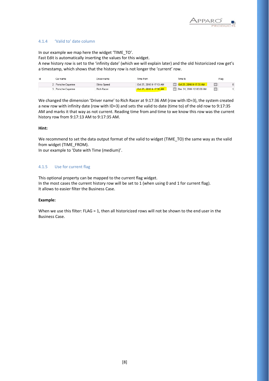

#### 4.1.4 'Valid to' date column

In our example we map here the widget 'TIME\_TO'.

Fast Edit is automatically inserting the values for this widget.

A new history row is set to the 'infinity date' (which we will explain later) and the old historicized row get's a timestamp, which shows that the history row is not longer the 'current' row.

| Id | Car name          | Driver name  | Time from               | Time to                  | Flag    |
|----|-------------------|--------------|-------------------------|--------------------------|---------|
|    | 2 Porsche-Cavenne | Silvio Speed | Oct 25, 2016 9:17:13 AM | Ct 25, 2016 9:17:35 AM   | 圊<br>n. |
|    | 3 Porsche-Cavenne | Rich Racer   | Oct 25, 2016 9:17:36 AM | Dec 31, 2999 12:00:00 AM | 圖       |

We changed the dimension 'Driver name' to Rich Racer at 9:17:36 AM (row with ID=3), the system created a new row with infinity date (row with ID=3) and sets the valid to date (time to) of the old row to 9:17:35 AM and marks it that way as not current. Reading time from and time to we know this row was the current history row from 9:17:13 AM to 9:17:35 AM.

#### **Hint:**

We recommend to set the data output format of the valid to widget (TIME\_TO) the same way as the valid from widget (TIME\_FROM).

In our example to 'Date with Time (medium)'.

#### 4.1.5 Use for current flag

This optional property can be mapped to the current flag widget. In the most cases the current history row will be set to 1 (when using 0 and 1 for current flag). It allows to easier filter the Business Case.

#### **Example:**

When we use this filter: FLAG = 1, then all historicized rows will not be shown to the end user in the Business Case.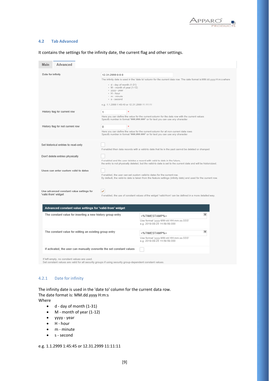

#### **4.2 Tab Advanced**

| Advanced<br>Main                                                                                                                                        |                                                                                                                                                                                            |                                                                                                                                                                               |
|---------------------------------------------------------------------------------------------------------------------------------------------------------|--------------------------------------------------------------------------------------------------------------------------------------------------------------------------------------------|-------------------------------------------------------------------------------------------------------------------------------------------------------------------------------|
| Date for infinity                                                                                                                                       | 12.31.2999 0:0:0<br>- d - day of month (1-31)<br>- M - month of year (1-12)<br>- yyyy - year<br>$-$ H - hour<br>- m - minute<br>- s-second<br>e.g. 1.1.2999 1:45:45 or 12.31.2999 11:11:11 | The infinity date is used in the 'date to' column for the current data row. The date format is MM.dd.yyyy H:m:s where                                                         |
| History flag for current row                                                                                                                            | 1<br>$\star$                                                                                                                                                                               | Here you can define the value for the current column for the data row with the current values<br>Specify number in format "###,###.###" or for text you can use any character |
| History flag for not current row                                                                                                                        | ÷<br>$\mathbf{0}$                                                                                                                                                                          | Here you can define the value for the current column for all non-current data rows<br>Specify number in format "###,###.###" or for text you can use any character            |
| Set historical entries to read-only                                                                                                                     |                                                                                                                                                                                            | If enabled then data records with a valid-to date that lie in the past cannot be deleted or changed.                                                                          |
| Don't delete entries physically                                                                                                                         | If enabled and the user deletes a record with valid-to date in the future.                                                                                                                 | the entry is not physically deleted, but the valid-to date is set to the current date and will be historicized.                                                               |
| Users can enter custom valid-to dates                                                                                                                   | If enabled, the user can set custom valid-to dates for the current row.                                                                                                                    | By default, the valid-to date is taken from the feature settings (infinity date) and used for the current row.                                                                |
| Use advanced constant value settings for<br>'valid-from' widget<br>Advanced constant value settings for 'valid-from' widget                             | ✔                                                                                                                                                                                          | If enabled, the use of constant values of the widget 'valid-from' can be defined in a more detailed way.                                                                      |
| The constant value for inserting a new history group entry                                                                                              |                                                                                                                                                                                            | $\mathsf{V}$<br><%TIMESTAMP%><br>Use format 'yyyy-MM-dd HH:mm.ss.SSS'<br>e.g. 2019-09-25 14:59:59.000                                                                         |
| The constant value for editing an existing group entry                                                                                                  |                                                                                                                                                                                            | V<br><%TIMESTAMP%><br>Use format 'yyyy-MM-dd HH:mm.ss.SSS'<br>e.g. 2019-09-25 14:59:59.000                                                                                    |
| If activated, the user can manually overwrite the set constant values                                                                                   |                                                                                                                                                                                            |                                                                                                                                                                               |
| If left empty, no constant values are used.<br>Set constant values are valid for all security groups if using security group-dependent constant values. |                                                                                                                                                                                            |                                                                                                                                                                               |

# It contains the settings for the infinity date, the current flag and other settings.

4.2.1 Date for infinity

The infinity date is used in the 'date to' column for the current data row. The date format is: MM.dd.yyyy H:m:s Where

- d day of month (1-31)
- M month of year (1-12)
- yyyy year
- H hour
- m minute
- s second

e.g. 1.1.2999 1:45:45 or 12.31.2999 11:11:11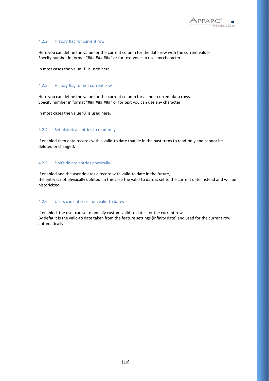

#### 4.2.2 History flag for current row

Here you can define the value for the current column for the data row with the current values Specify number in format "###,###.###" or for text you can use any character.

In most cases the value '1' is used here.

#### 4.2.3 History flag for not current row

Here you can define the value for the current column for all non-current data rows Specify number in format "###,###.###" or for text you can use any character

In most cases the value '0' is used here.

### 4.2.4 Set historical entries to read-only

If enabled then data records with a valid-to date that lie in the past turns to read-only and cannot be deleted or changed.

#### 4.2.5 Don't delete entries physically

If enabled and the user deletes a record with valid-to date in the future, the entry is not physically deleted. In this case the valid-to date is set to the current date instead and will be historicized.

## 4.2.6 Users can enter custom valid-to dates

If enabled, the user can set manually custom valid-to dates for the current row. By default is the valid-to date taken from the feature settings (infinity date) and used for the current row automatically.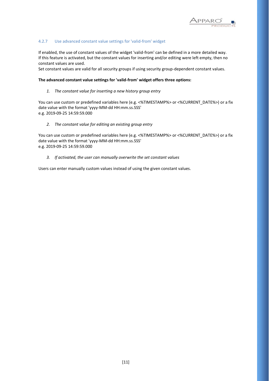

#### 4.2.7 Use advanced constant value settings for 'valid-from' widget

If enabled, the use of constant values of the widget 'valid-from' can be defined in a more detailed way. If this feature is activated, but the constant values for inserting and/or editing were left empty, then no constant values are used.

Set constant values are valid for all security groups if using security group-dependent constant values.

#### **The advanced constant value settings for 'valid-from' widget offers three options:**

#### *1. The constant value for inserting a new history group entry*

You can use custom or predefined variables here (e.g. <%TIMESTAMP%> or <%CURRENT\_DATE%>) or a fix date value with the format 'yyyy-MM-dd HH:mm.ss.SSS' e.g. 2019-09-25 14:59:59.000

#### *2. The constant value for editing an existing group entry*

You can use custom or predefined variables here (e.g. <%TIMESTAMP%> or <%CURRENT\_DATE%>) or a fix date value with the format 'yyyy-MM-dd HH:mm.ss.SSS' e.g. 2019-09-25 14:59:59.000

#### *3. If activated, the user can manually overwrite the set constant values*

Users can enter manually custom values instead of using the given constant values.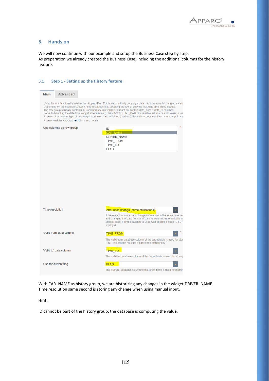

# **5 Hands on**

We will now continue with our example and setup the Business Case step by step. As preparation we already created the Business Case, including the additional columns for the history feature.

#### **5.1 Step 1 - Setting up the History feature**

| <b>Main</b>            | <b>Advanced</b>                                    |                                                                                                                                                                                                                                                                                                                                                                                                                                                                                                                                                                                                                          |
|------------------------|----------------------------------------------------|--------------------------------------------------------------------------------------------------------------------------------------------------------------------------------------------------------------------------------------------------------------------------------------------------------------------------------------------------------------------------------------------------------------------------------------------------------------------------------------------------------------------------------------------------------------------------------------------------------------------------|
|                        | Please read this <b>document</b> for more details. | Using history functionality means that Apparo Fast Edit is automatically copying a data row if the user is changing a valu<br>Depending on the decision strategy (time resolution) it is updating the row or copying including time frame update.<br>The row group normally contains all used primary key widgets. It must not contain date from & date to columns.<br>For auto-handling the date from widget, it requires e.g. the <%CURRENT DATE%> variable set as constant value in ins<br>Please set the output type of this widget to at least date with time (medium). For milliseconds use the custom output type |
|                        | Use columns as row group                           | ID<br>CAR NAME<br><b>DRIVER NAME</b><br><b>TIME FROM</b><br><b>TIME TO</b><br><b>FLAG</b>                                                                                                                                                                                                                                                                                                                                                                                                                                                                                                                                |
| <b>Time resolution</b> |                                                    | After each change (same millisecond)<br>If there are 2 or more data changes into a row in the same time frai<br>and changing the 'date from' and 'date to' columns automatically to<br>Special case: if simple auditing is used with specified 'state (U,I,D)'<br>strategy)                                                                                                                                                                                                                                                                                                                                              |
|                        | "Valid from" date column                           | <b>TIME FROM</b><br>The 'valid from' database column of the target table is used for stor<br>HINT: this column must be a part of the primary key                                                                                                                                                                                                                                                                                                                                                                                                                                                                         |
|                        | "Valid to" date column                             | <b>TIME TO</b><br>The 'valid to' database column of the target table is used for storing                                                                                                                                                                                                                                                                                                                                                                                                                                                                                                                                 |
|                        | Use for current flag                               | <b>FLAG</b><br>The 'current' database column of the target table is used for markin                                                                                                                                                                                                                                                                                                                                                                                                                                                                                                                                      |

With CAR\_NAME as history group, we are historizing any changes in the widget DRIVER\_NAME. Time resolution same second is storing any change when using manual input.

## **Hint:**

ID cannot be part of the history group; the database is computing the value.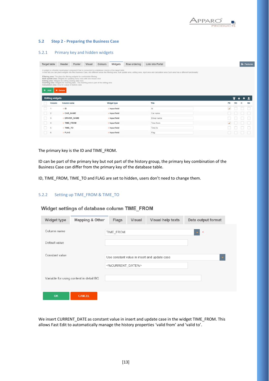

#### **5.2 Step 2 - Preparing the Business Case**

# 5.2.1 Primary key and hidden widgets

| <b>Target table</b>    | Header<br>Footer                                                                                                                                                                                                                                                                                                                                                                    | Visual | Widgets<br>Colours                                                                                        | Row ordering | Link into Portal                                                                                                                                                                                               |              |    | <b>n</b> - Feature: |
|------------------------|-------------------------------------------------------------------------------------------------------------------------------------------------------------------------------------------------------------------------------------------------------------------------------------------------------------------------------------------------------------------------------------|--------|-----------------------------------------------------------------------------------------------------------|--------------|----------------------------------------------------------------------------------------------------------------------------------------------------------------------------------------------------------------|--------------|----|---------------------|
|                        |                                                                                                                                                                                                                                                                                                                                                                                     |        | A widget is a flexible input/output component that is connected to a database column of the target table. |              | In this tab you can place widgets into this Business Case, into different areas like filtering area, bulk update area, editing area, input area and calculation area. Each area has a different functionality: |              |    |                     |
| ۰<br>Add               | Filtering area: The place for filtering widgets for comfortable filtering<br>Bulk update area: Widgets for updating many rows with one mouse click<br>Editing area: Widgets for editing existing data rows<br>Inserting area: Widgets for inserting data - The inserting area is part of the editing area<br>Calculation area: Area for output of statistic data<br><b>X</b> Delete |        |                                                                                                           |              |                                                                                                                                                                                                                |              |    |                     |
| <b>Editing widgets</b> |                                                                                                                                                                                                                                                                                                                                                                                     |        |                                                                                                           |              |                                                                                                                                                                                                                |              | ∓  |                     |
|                        |                                                                                                                                                                                                                                                                                                                                                                                     |        |                                                                                                           |              |                                                                                                                                                                                                                |              |    |                     |
| Column                 | Column name                                                                                                                                                                                                                                                                                                                                                                         |        | Widget type                                                                                               |              | Title                                                                                                                                                                                                          | <b>PK</b>    | RO |                     |
|                        | $>$ ID                                                                                                                                                                                                                                                                                                                                                                              |        | > Input field                                                                                             |              | Id                                                                                                                                                                                                             | $\checkmark$ |    |                     |
| $\overline{2}$         | > CAR_NAME                                                                                                                                                                                                                                                                                                                                                                          |        | > Input field                                                                                             |              | Car name                                                                                                                                                                                                       |              |    | H                   |
| 3                      | > DRIVER_NAME                                                                                                                                                                                                                                                                                                                                                                       |        | > Input field                                                                                             |              | Driver name                                                                                                                                                                                                    |              |    |                     |
| 4                      | > TIME_FROM                                                                                                                                                                                                                                                                                                                                                                         |        | > Input field                                                                                             |              | Time from                                                                                                                                                                                                      | $\checkmark$ |    |                     |
| 5                      | > TIME_TO                                                                                                                                                                                                                                                                                                                                                                           |        | > Input field                                                                                             |              | Time to                                                                                                                                                                                                        |              |    |                     |

The primary key is the ID and TIME\_FROM.

ID can be part of the primary key but not part of the history group, the primary key combination of the Business Case can differ from the primary key of the database table.

ID, TIME\_FROM, TIME\_TO and FLAG are set to hidden, users don't need to change them.

# 5.2.2 Setting up TIME\_FROM & TIME\_TO

| <b>Widget type</b> | <b>Mapping &amp; Other</b>              | <b>Flags</b>     | <b>Visual</b> | <b>Visual help texts</b>                     | Data output format |
|--------------------|-----------------------------------------|------------------|---------------|----------------------------------------------|--------------------|
| Column name        |                                         | TIME_FROM        |               |                                              | $\pmb{\ast}$       |
| Default value      |                                         |                  |               |                                              |                    |
| Constant value     |                                         |                  |               | Use constant value in insert and update case |                    |
|                    |                                         | <%CURRENT DATE%> |               |                                              |                    |
|                    | Variable for using content in detail BC |                  |               |                                              |                    |
|                    |                                         |                  |               |                                              |                    |
| OK                 | <b>CANCEL</b>                           |                  |               |                                              |                    |

We insert CURRENT\_DATE as constant value in insert and update case in the widget TIME\_FROM. This allows Fast Edit to automatically manage the history properties 'valid from' and 'valid to'.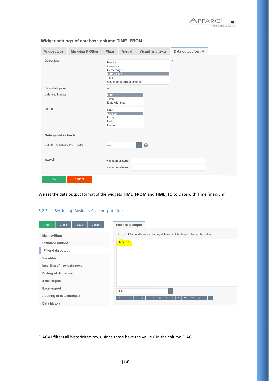

| Widget type                   | Mapping & Other | <b>Flags</b>                                            | <b>Visual</b>             | Visual help texts | Data output format |  |
|-------------------------------|-----------------|---------------------------------------------------------|---------------------------|-------------------|--------------------|--|
| Output type                   |                 | Number<br>Currency<br>Percentage<br>Date / Time<br>Text | Use type of output column |                   | $\pmb{\ast}$       |  |
| Show date picker              |                 | v                                                       |                           |                   |                    |  |
| Date and time part            |                 | <b>Date</b><br>Time<br>Date with time                   |                           |                   |                    |  |
| Format                        |                 | Short<br>Medium<br>Long<br>Full<br>Custom               |                           |                   |                    |  |
| Data quality check            |                 |                                                         |                           |                   |                    |  |
| Custom validator Java 7 class |                 | $\cdots$                                                |                           | 0                 |                    |  |
| Interval                      |                 | Minimum allowed:<br>Maximum allowed:                    |                           |                   |                    |  |
| OK                            | <b>CANCEL</b>   |                                                         |                           |                   |                    |  |

Widget settings of database column TIME\_FROM

We set the data output format of the widgets **TIME\_FROM** and **TIME\_TO** to Date with Time (medium)

# 5.2.3 Setting up Business Case output filter

| <b>Run</b>           | <b>Close</b>                | <b>Save</b> | Cancel | Filter data output                                                                    |
|----------------------|-----------------------------|-------------|--------|---------------------------------------------------------------------------------------|
| <b>Main settings</b> |                             |             |        | The SQL filter conditions are filtering data rows of the target table for the output. |
|                      | <b>Standard buttons</b>     |             |        | $FLAG = 1$                                                                            |
|                      | Filter data output          |             |        |                                                                                       |
| Variables            |                             |             |        |                                                                                       |
|                      | Inserting of new data rows  |             |        |                                                                                       |
|                      | <b>Editing of data rows</b> |             |        |                                                                                       |
| <b>Excel import</b>  |                             |             |        |                                                                                       |
| <b>Excel export</b>  |                             |             |        | <b>FLAG</b>                                                                           |
|                      | Auditing of data changes    |             |        |                                                                                       |
| Data history         |                             |             |        |                                                                                       |

FLAG=1 filters all historicized rows, since those have the value 0 in the column FLAG.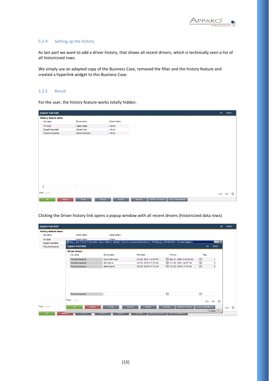

#### 5.2.4 Setting up the history

As last part we want to add a driver history, that shows all recent drivers, which is technically seen a list of all historicized rows.

We simply use an adapted copy of the Business Case, removed the filter and the history feature and created a hyperlink widget to this Business Case.

#### 5.2.5 Result

For the user, the history feature works totally hidden.

| Apparo Fast Edit     |        |               |               |                    |               |                        |                         |  | en |
|----------------------|--------|---------------|---------------|--------------------|---------------|------------------------|-------------------------|--|----|
| History feature demo |        |               |               |                    |               |                        |                         |  |    |
| Car name             |        | Driver name   |               | Driver history     |               |                        |                         |  |    |
| <b>VW Bulli</b>      |        | Happy Hippy   |               | $\rightarrow$ Show |               |                        |                         |  |    |
| Bugatti-Speedster    |        | Saladin Salt  |               | $\rightarrow$ Show |               |                        |                         |  |    |
| Porsche-Cayenne      |        | Monty Simmons |               | $\rightarrow$ Show |               |                        |                         |  |    |
|                      |        |               |               |                    |               |                        |                         |  |    |
|                      |        |               |               |                    |               |                        |                         |  |    |
|                      |        |               |               |                    |               |                        |                         |  |    |
|                      |        |               |               |                    |               |                        |                         |  |    |
|                      |        |               |               |                    |               |                        |                         |  |    |
|                      |        |               |               |                    |               |                        |                         |  |    |
|                      |        |               |               |                    |               |                        |                         |  |    |
|                      |        |               |               |                    |               |                        |                         |  |    |
|                      |        |               |               |                    |               |                        |                         |  |    |
|                      |        |               |               |                    |               |                        |                         |  |    |
|                      |        |               |               |                    |               |                        |                         |  |    |
|                      |        |               |               |                    |               |                        |                         |  |    |
|                      |        |               |               |                    |               |                        |                         |  |    |
| Page: 1/1            |        |               |               |                    |               |                        |                         |  | €→ |
| OK                   | CANCEL | <b>CLOSE</b>  | <b>DELETE</b> | <b>INSERT</b>      | <b>RELOAD</b> | <b>EXPORT TO EXCEL</b> | <b>EXCEL ROW-IMPORT</b> |  |    |

| History feature demo<br>Driver name<br>Driver history<br>Car name<br><b>VW Bulli</b><br>Hanny Hinny<br>$\sqrt{5h}$<br>http://aq3/?clientid=Demo&bc=Demo-History hist&p2=Porsche-Cayenne&dateFormat=MM.dd.yyyy+H%3Am%3- Internet Explorer<br><b>HOX</b><br>Bugatti-Speedster<br>Apparo Fast Edit<br>Demo<br>en<br>Porsche-Cayenne<br><b>Driver history</b><br>Time from<br>Time to<br>Flag<br>Car name<br>Driver name<br>圖<br>Dec 31, 2999 12:00:00 AM<br>Porsche-Cayenne<br>Monty Simmons<br>Oct 26, 2016 1:44:58 PM<br>$\mathbf{1}$<br>圖<br>Oct 26, 2016 1:44:57 PM<br>Rich Racer<br>$\bf{0}$<br>Porsche-Cayenne<br>Oct 25, 2016 9:17:36 AM<br>$\mathbb{H}$<br>Oct 25, 2016 9:17:35 AM<br>Porsche-Cayenne<br>Silvio Speed<br>Oct 25, 2016 9:17:13 AM<br>$\mathbf 0$<br>圖<br>懎<br>Porsche-Cavenne<br>Page: 1/1<br>D<br>€→<br>A→<br>Page: 1/1<br><b>EXPORT TO EXCEL</b><br><b>EXCEL ROW-IMPORT</b><br><b>CLOSE</b><br><b>RELOAD</b><br>OK<br>CANCEL<br><b>DELETE</b><br><b>INSERT</b><br>$*100%$<br>$\cdot$ | <b>Apparo Fast Edit</b> |  |  | en | Demo |
|------------------------------------------------------------------------------------------------------------------------------------------------------------------------------------------------------------------------------------------------------------------------------------------------------------------------------------------------------------------------------------------------------------------------------------------------------------------------------------------------------------------------------------------------------------------------------------------------------------------------------------------------------------------------------------------------------------------------------------------------------------------------------------------------------------------------------------------------------------------------------------------------------------------------------------------------------------------------------------------------------------|-------------------------|--|--|----|------|
|                                                                                                                                                                                                                                                                                                                                                                                                                                                                                                                                                                                                                                                                                                                                                                                                                                                                                                                                                                                                            |                         |  |  |    |      |
|                                                                                                                                                                                                                                                                                                                                                                                                                                                                                                                                                                                                                                                                                                                                                                                                                                                                                                                                                                                                            |                         |  |  |    |      |
|                                                                                                                                                                                                                                                                                                                                                                                                                                                                                                                                                                                                                                                                                                                                                                                                                                                                                                                                                                                                            |                         |  |  |    |      |
|                                                                                                                                                                                                                                                                                                                                                                                                                                                                                                                                                                                                                                                                                                                                                                                                                                                                                                                                                                                                            |                         |  |  |    |      |
|                                                                                                                                                                                                                                                                                                                                                                                                                                                                                                                                                                                                                                                                                                                                                                                                                                                                                                                                                                                                            |                         |  |  |    |      |
|                                                                                                                                                                                                                                                                                                                                                                                                                                                                                                                                                                                                                                                                                                                                                                                                                                                                                                                                                                                                            |                         |  |  |    |      |
|                                                                                                                                                                                                                                                                                                                                                                                                                                                                                                                                                                                                                                                                                                                                                                                                                                                                                                                                                                                                            |                         |  |  |    |      |
|                                                                                                                                                                                                                                                                                                                                                                                                                                                                                                                                                                                                                                                                                                                                                                                                                                                                                                                                                                                                            |                         |  |  |    |      |
|                                                                                                                                                                                                                                                                                                                                                                                                                                                                                                                                                                                                                                                                                                                                                                                                                                                                                                                                                                                                            |                         |  |  |    |      |
|                                                                                                                                                                                                                                                                                                                                                                                                                                                                                                                                                                                                                                                                                                                                                                                                                                                                                                                                                                                                            |                         |  |  |    |      |
|                                                                                                                                                                                                                                                                                                                                                                                                                                                                                                                                                                                                                                                                                                                                                                                                                                                                                                                                                                                                            |                         |  |  |    |      |
|                                                                                                                                                                                                                                                                                                                                                                                                                                                                                                                                                                                                                                                                                                                                                                                                                                                                                                                                                                                                            |                         |  |  |    |      |
|                                                                                                                                                                                                                                                                                                                                                                                                                                                                                                                                                                                                                                                                                                                                                                                                                                                                                                                                                                                                            |                         |  |  |    | A→   |
| OK<br>CANCEL<br><b>ULUSE</b><br><b>UELETE</b><br><b>EXPURT TU EAUEL</b><br><b>EAUEL RUW-IMPURT</b>                                                                                                                                                                                                                                                                                                                                                                                                                                                                                                                                                                                                                                                                                                                                                                                                                                                                                                         |                         |  |  |    |      |

Clicking the Driver history link opens a popup window with all recent drivers (historicized data rows)